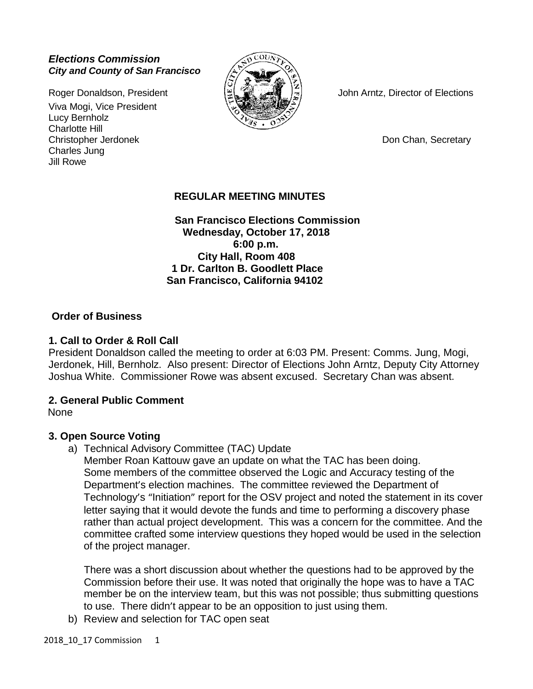## *Elections Commission City and County of San Francisco*

Viva Mogi, Vice President Lucy Bernholz Charlotte Hill Christopher Jerdonek **Don Chan, Secretary** Don Chan, Secretary Charles Jung Jill Rowe



Roger Donaldson, President  $\|\mathfrak{L}\|$  ( $\|\mathfrak{L}\|$   $\|\mathfrak{L}\|$  ) John Arntz, Director of Elections

# **REGULAR MEETING MINUTES**

 **San Francisco Elections Commission Wednesday, October 17, 2018 6:00 p.m. City Hall, Room 408 1 Dr. Carlton B. Goodlett Place San Francisco, California 94102**

## **Order of Business**

## **1. Call to Order & Roll Call**

President Donaldson called the meeting to order at 6:03 PM. Present: Comms. Jung, Mogi, Jerdonek, Hill, Bernholz. Also present: Director of Elections John Arntz, Deputy City Attorney Joshua White. Commissioner Rowe was absent excused. Secretary Chan was absent.

### **2. General Public Comment**

None

## **3. Open Source Voting**

a) Technical Advisory Committee (TAC) Update

Member Roan Kattouw gave an update on what the TAC has been doing. Some members of the committee observed the Logic and Accuracy testing of the Department's election machines. The committee reviewed the Department of Technology's "Initiation" report for the OSV project and noted the statement in its cover letter saying that it would devote the funds and time to performing a discovery phase rather than actual project development. This was a concern for the committee. And the committee crafted some interview questions they hoped would be used in the selection of the project manager.

There was a short discussion about whether the questions had to be approved by the Commission before their use. It was noted that originally the hope was to have a TAC member be on the interview team, but this was not possible; thus submitting questions to use. There didn't appear to be an opposition to just using them.

b) Review and selection for TAC open seat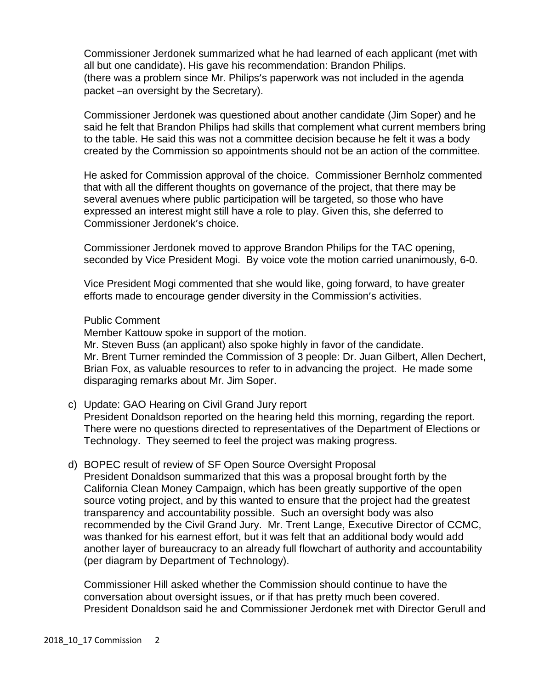Commissioner Jerdonek summarized what he had learned of each applicant (met with all but one candidate). His gave his recommendation: Brandon Philips. (there was a problem since Mr. Philips's paperwork was not included in the agenda packet –an oversight by the Secretary).

Commissioner Jerdonek was questioned about another candidate (Jim Soper) and he said he felt that Brandon Philips had skills that complement what current members bring to the table. He said this was not a committee decision because he felt it was a body created by the Commission so appointments should not be an action of the committee.

He asked for Commission approval of the choice. Commissioner Bernholz commented that with all the different thoughts on governance of the project, that there may be several avenues where public participation will be targeted, so those who have expressed an interest might still have a role to play. Given this, she deferred to Commissioner Jerdonek's choice.

Commissioner Jerdonek moved to approve Brandon Philips for the TAC opening, seconded by Vice President Mogi. By voice vote the motion carried unanimously, 6-0.

Vice President Mogi commented that she would like, going forward, to have greater efforts made to encourage gender diversity in the Commission's activities.

### Public Comment

Member Kattouw spoke in support of the motion.

Mr. Steven Buss (an applicant) also spoke highly in favor of the candidate. Mr. Brent Turner reminded the Commission of 3 people: Dr. Juan Gilbert, Allen Dechert, Brian Fox, as valuable resources to refer to in advancing the project. He made some disparaging remarks about Mr. Jim Soper.

- c) Update: GAO Hearing on Civil Grand Jury report President Donaldson reported on the hearing held this morning, regarding the report. There were no questions directed to representatives of the Department of Elections or Technology. They seemed to feel the project was making progress.
- d) BOPEC result of review of SF Open Source Oversight Proposal President Donaldson summarized that this was a proposal brought forth by the California Clean Money Campaign, which has been greatly supportive of the open source voting project, and by this wanted to ensure that the project had the greatest transparency and accountability possible. Such an oversight body was also recommended by the Civil Grand Jury. Mr. Trent Lange, Executive Director of CCMC, was thanked for his earnest effort, but it was felt that an additional body would add another layer of bureaucracy to an already full flowchart of authority and accountability (per diagram by Department of Technology).

Commissioner Hill asked whether the Commission should continue to have the conversation about oversight issues, or if that has pretty much been covered. President Donaldson said he and Commissioner Jerdonek met with Director Gerull and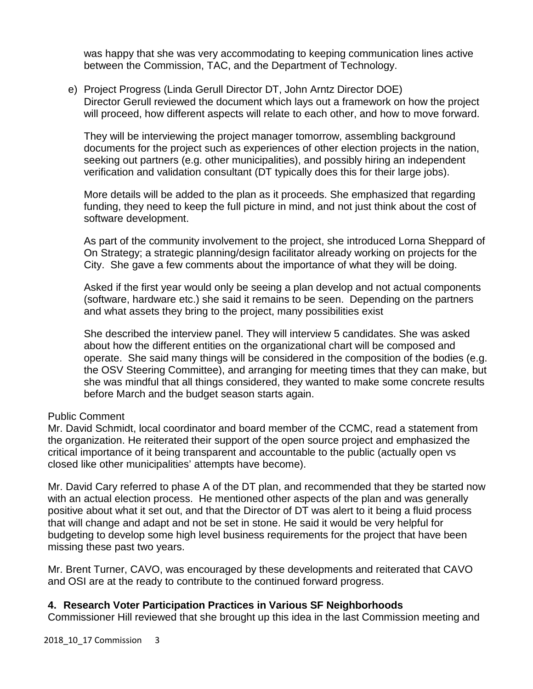was happy that she was very accommodating to keeping communication lines active between the Commission, TAC, and the Department of Technology.

e) Project Progress (Linda Gerull Director DT, John Arntz Director DOE) Director Gerull reviewed the document which lays out a framework on how the project will proceed, how different aspects will relate to each other, and how to move forward.

They will be interviewing the project manager tomorrow, assembling background documents for the project such as experiences of other election projects in the nation, seeking out partners (e.g. other municipalities), and possibly hiring an independent verification and validation consultant (DT typically does this for their large jobs).

More details will be added to the plan as it proceeds. She emphasized that regarding funding, they need to keep the full picture in mind, and not just think about the cost of software development.

As part of the community involvement to the project, she introduced Lorna Sheppard of On Strategy; a strategic planning/design facilitator already working on projects for the City. She gave a few comments about the importance of what they will be doing.

Asked if the first year would only be seeing a plan develop and not actual components (software, hardware etc.) she said it remains to be seen. Depending on the partners and what assets they bring to the project, many possibilities exist

She described the interview panel. They will interview 5 candidates. She was asked about how the different entities on the organizational chart will be composed and operate. She said many things will be considered in the composition of the bodies (e.g. the OSV Steering Committee), and arranging for meeting times that they can make, but she was mindful that all things considered, they wanted to make some concrete results before March and the budget season starts again.

## Public Comment

Mr. David Schmidt, local coordinator and board member of the CCMC, read a statement from the organization. He reiterated their support of the open source project and emphasized the critical importance of it being transparent and accountable to the public (actually open vs closed like other municipalities' attempts have become).

Mr. David Cary referred to phase A of the DT plan, and recommended that they be started now with an actual election process. He mentioned other aspects of the plan and was generally positive about what it set out, and that the Director of DT was alert to it being a fluid process that will change and adapt and not be set in stone. He said it would be very helpful for budgeting to develop some high level business requirements for the project that have been missing these past two years.

Mr. Brent Turner, CAVO, was encouraged by these developments and reiterated that CAVO and OSI are at the ready to contribute to the continued forward progress.

## **4. Research Voter Participation Practices in Various SF Neighborhoods**

Commissioner Hill reviewed that she brought up this idea in the last Commission meeting and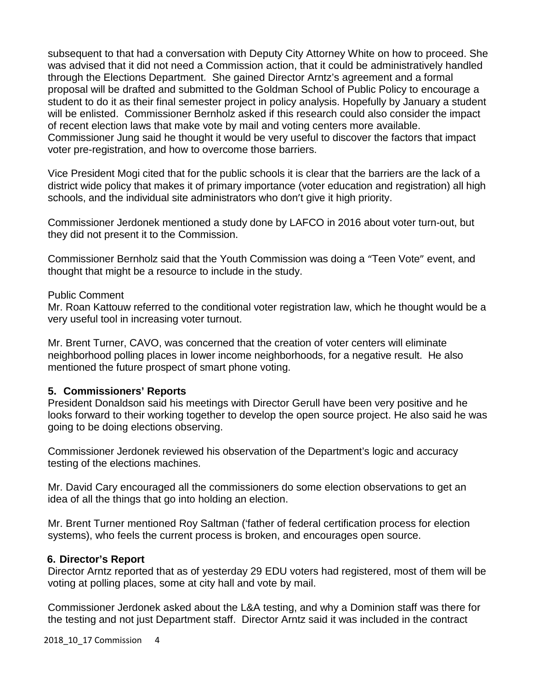subsequent to that had a conversation with Deputy City Attorney White on how to proceed. She was advised that it did not need a Commission action, that it could be administratively handled through the Elections Department. She gained Director Arntz's agreement and a formal proposal will be drafted and submitted to the Goldman School of Public Policy to encourage a student to do it as their final semester project in policy analysis. Hopefully by January a student will be enlisted. Commissioner Bernholz asked if this research could also consider the impact of recent election laws that make vote by mail and voting centers more available. Commissioner Jung said he thought it would be very useful to discover the factors that impact voter pre-registration, and how to overcome those barriers.

Vice President Mogi cited that for the public schools it is clear that the barriers are the lack of a district wide policy that makes it of primary importance (voter education and registration) all high schools, and the individual site administrators who don't give it high priority.

Commissioner Jerdonek mentioned a study done by LAFCO in 2016 about voter turn-out, but they did not present it to the Commission.

Commissioner Bernholz said that the Youth Commission was doing a "Teen Vote" event, and thought that might be a resource to include in the study.

### Public Comment

Mr. Roan Kattouw referred to the conditional voter registration law, which he thought would be a very useful tool in increasing voter turnout.

Mr. Brent Turner, CAVO, was concerned that the creation of voter centers will eliminate neighborhood polling places in lower income neighborhoods, for a negative result. He also mentioned the future prospect of smart phone voting.

## **5. Commissioners' Reports**

President Donaldson said his meetings with Director Gerull have been very positive and he looks forward to their working together to develop the open source project. He also said he was going to be doing elections observing.

Commissioner Jerdonek reviewed his observation of the Department's logic and accuracy testing of the elections machines.

Mr. David Cary encouraged all the commissioners do some election observations to get an idea of all the things that go into holding an election.

Mr. Brent Turner mentioned Roy Saltman ('father of federal certification process for election systems), who feels the current process is broken, and encourages open source.

### **6. Director's Report**

Director Arntz reported that as of yesterday 29 EDU voters had registered, most of them will be voting at polling places, some at city hall and vote by mail.

Commissioner Jerdonek asked about the L&A testing, and why a Dominion staff was there for the testing and not just Department staff. Director Arntz said it was included in the contract

2018\_10\_17 Commission 4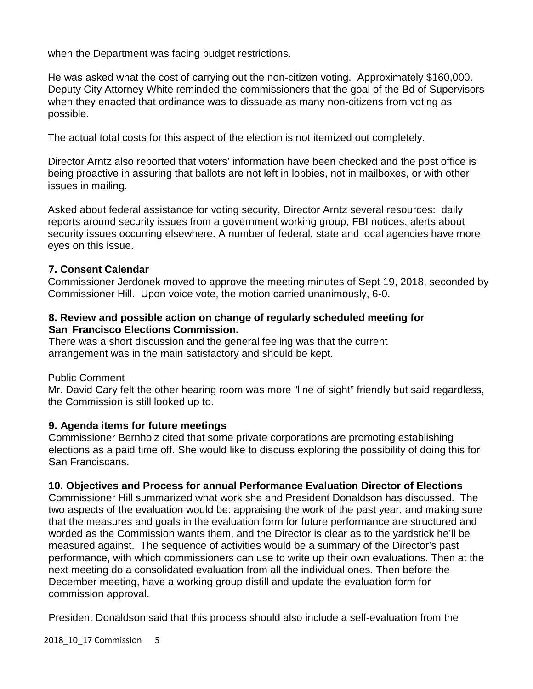when the Department was facing budget restrictions.

He was asked what the cost of carrying out the non-citizen voting. Approximately \$160,000. Deputy City Attorney White reminded the commissioners that the goal of the Bd of Supervisors when they enacted that ordinance was to dissuade as many non-citizens from voting as possible.

The actual total costs for this aspect of the election is not itemized out completely.

Director Arntz also reported that voters' information have been checked and the post office is being proactive in assuring that ballots are not left in lobbies, not in mailboxes, or with other issues in mailing.

Asked about federal assistance for voting security, Director Arntz several resources: daily reports around security issues from a government working group, FBI notices, alerts about security issues occurring elsewhere. A number of federal, state and local agencies have more eyes on this issue.

## **7. Consent Calendar**

Commissioner Jerdonek moved to approve the meeting minutes of Sept 19, 2018, seconded by Commissioner Hill. Upon voice vote, the motion carried unanimously, 6-0.

## **8. Review and possible action on change of regularly scheduled meeting for San Francisco Elections Commission.**

There was a short discussion and the general feeling was that the current arrangement was in the main satisfactory and should be kept.

Public Comment

Mr. David Cary felt the other hearing room was more "line of sight" friendly but said regardless, the Commission is still looked up to.

# **9. Agenda items for future meetings**

Commissioner Bernholz cited that some private corporations are promoting establishing elections as a paid time off. She would like to discuss exploring the possibility of doing this for San Franciscans.

# **10. Objectives and Process for annual Performance Evaluation Director of Elections**

Commissioner Hill summarized what work she and President Donaldson has discussed. The two aspects of the evaluation would be: appraising the work of the past year, and making sure that the measures and goals in the evaluation form for future performance are structured and worded as the Commission wants them, and the Director is clear as to the yardstick he'll be measured against. The sequence of activities would be a summary of the Director's past performance, with which commissioners can use to write up their own evaluations. Then at the next meeting do a consolidated evaluation from all the individual ones. Then before the December meeting, have a working group distill and update the evaluation form for commission approval.

President Donaldson said that this process should also include a self-evaluation from the